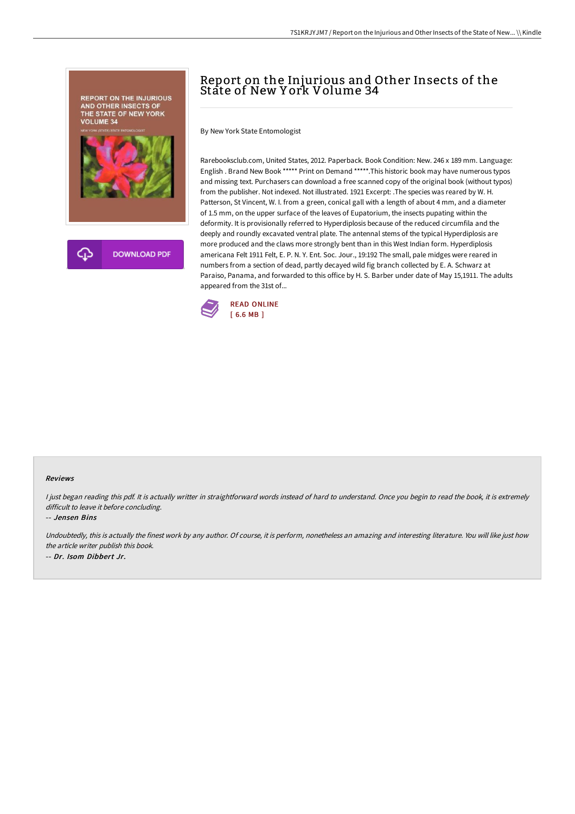

## Report on the Injurious and Other Insects of the State of New Y ork Volume 34

By New York State Entomologist

Rarebooksclub.com, United States, 2012. Paperback. Book Condition: New. 246 x 189 mm. Language: English . Brand New Book \*\*\*\*\* Print on Demand \*\*\*\*\*.This historic book may have numerous typos and missing text. Purchasers can download a free scanned copy of the original book (without typos) from the publisher. Not indexed. Not illustrated. 1921 Excerpt: .The species was reared by W. H. Patterson, St Vincent, W. I. from a green, conical gall with a length of about 4 mm, and a diameter of 1.5 mm, on the upper surface of the leaves of Eupatorium, the insects pupating within the deformity. It is provisionally referred to Hyperdiplosis because of the reduced circumfila and the deeply and roundly excavated ventral plate. The antennal stems of the typical Hyperdiplosis are more produced and the claws more strongly bent than in this West Indian form. Hyperdiplosis americana Felt 1911 Felt, E. P. N. Y. Ent. Soc. Jour., 19:192 The small, pale midges were reared in numbers from a section of dead, partly decayed wild fig branch collected by E. A. Schwarz at Paraiso, Panama, and forwarded to this office by H. S. Barber under date of May 15,1911. The adults appeared from the 31st of...



## Reviews

I just began reading this pdf. It is actually writter in straightforward words instead of hard to understand. Once you begin to read the book, it is extremely difficult to leave it before concluding.

-- Jensen Bins

Undoubtedly, this is actually the finest work by any author. Of course, it is perform, nonetheless an amazing and interesting literature. You will like just how the article writer publish this book. -- Dr. Isom Dibbert Jr.